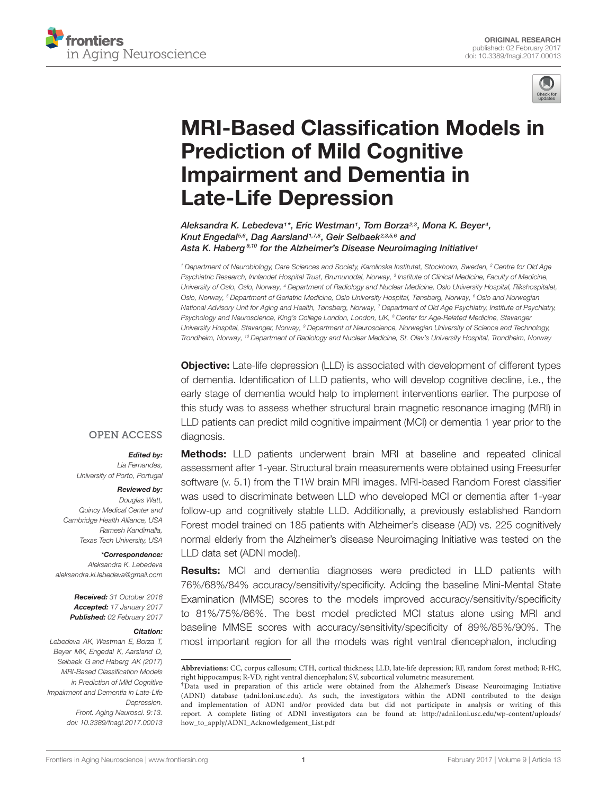



# [MRI-Based Classification Models in](http://journal.frontiersin.org/article/10.3389/fnagi.2017.00013/abstract) Prediction of Mild Cognitive Impairment and Dementia in Late-Life Depression

[Aleksandra K. Lebedeva](http://loop.frontiersin.org/people/149997/overview)1\*, [Eric Westman](http://loop.frontiersin.org/people/71759/overview)1, Tom Borza23, [Mona K. Beyer](http://loop.frontiersin.org/people/244104/overview)4, Knut Engedal<sup>5,6</sup>, [Dag Aarsland](http://loop.frontiersin.org/people/144393/overview)<sup>1,7,8</sup>, Geir Selbaek<sup>2,3,5,6</sup> and Asta K. Haberg<sup>9,10</sup> [for the Alzheimer's Disease Neuroimaging Initiative](http://loop.frontiersin.org/people/137775/overview)<sup>†</sup>

<sup>1</sup> Department of Neurobiology, Care Sciences and Society, Karolinska Institutet, Stockholm, Sweden, <sup>2</sup> Centre for Old Age Psychiatric Research, Innlandet Hospital Trust, Brumunddal, Norway, 3 Institute of Clinical Medicine, Faculty of Medicine, University of Oslo, Oslo, Norway, <sup>4</sup> Department of Radiology and Nuclear Medicine, Oslo University Hospital, Rikshospitalet, Oslo, Norway, <sup>5</sup> Department of Geriatric Medicine, Oslo University Hospital, Tønsberg, Norway, <sup>6</sup> Oslo and Norwegian National Advisory Unit for Aging and Health, Tønsberg, Norway, <sup>7</sup> Department of Old Age Psychiatry, Institute of Psychiatry, Psychology and Neuroscience, King's College London, London, UK, <sup>8</sup> Center for Age-Related Medicine, Stavanger University Hospital, Stavanger, Norway, <sup>9</sup> Department of Neuroscience, Norwegian University of Science and Technology, Trondheim, Norway, <sup>10</sup> Department of Radiology and Nuclear Medicine, St. Olav's University Hospital, Trondheim, Norway

**Objective:** Late-life depression (LLD) is associated with development of different types of dementia. Identification of LLD patients, who will develop cognitive decline, i.e., the early stage of dementia would help to implement interventions earlier. The purpose of this study was to assess whether structural brain magnetic resonance imaging (MRI) in LLD patients can predict mild cognitive impairment (MCI) or dementia 1 year prior to the diagnosis.

#### **OPEN ACCESS**

Edited by: Lia Fernandes, University of Porto, Portugal

#### Reviewed by:

Douglas Watt, Quincy Medical Center and Cambridge Health Alliance, USA Ramesh Kandimalla, Texas Tech University, USA

\*Correspondence:

Aleksandra K. Lebedeva aleksandra.ki.lebedeva@gmail.com

> Received: 31 October 2016 Accepted: 17 January 2017 Published: 02 February 2017

#### Citation:

Lebedeva AK, Westman E, Borza T, Beyer MK, Engedal K, Aarsland D, Selbaek G and Haberg AK (2017) MRI-Based Classification Models in Prediction of Mild Cognitive Impairment and Dementia in Late-Life Depression. Front. Aging Neurosci. 9:13. doi: [10.3389/fnagi.2017.00013](https://doi.org/10.3389/fnagi.2017.00013)

Methods: LLD patients underwent brain MRI at baseline and repeated clinical assessment after 1-year. Structural brain measurements were obtained using Freesurfer software (v. 5.1) from the T1W brain MRI images. MRI-based Random Forest classifier was used to discriminate between LLD who developed MCI or dementia after 1-year follow-up and cognitively stable LLD. Additionally, a previously established Random Forest model trained on 185 patients with Alzheimer's disease (AD) vs. 225 cognitively normal elderly from the Alzheimer's disease Neuroimaging Initiative was tested on the LLD data set (ADNI model).

**Results:** MCI and dementia diagnoses were predicted in LLD patients with 76%/68%/84% accuracy/sensitivity/specificity. Adding the baseline Mini-Mental State Examination (MMSE) scores to the models improved accuracy/sensitivity/specificity to 81%/75%/86%. The best model predicted MCI status alone using MRI and baseline MMSE scores with accuracy/sensitivity/specificity of 89%/85%/90%. The most important region for all the models was right ventral diencephalon, including

**Abbreviations:** CC, corpus callosum; CTH, cortical thickness; LLD, late-life depression; RF, random forest method; R-HC, right hippocampus; R-VD, right ventral diencephalon; SV, subcortical volumetric measurement.

<sup>†</sup>Data used in preparation of this article were obtained from the Alzheimer's Disease Neuroimaging Initiative (ADNI) database (adni.loni.usc.edu). As such, the investigators within the ADNI contributed to the design and implementation of ADNI and/or provided data but did not participate in analysis or writing of this report. A complete listing of ADNI investigators can be found at: [http://adni.loni.usc.edu/wp-content/uploads/](http://adni.loni.usc.edu/wp-content/uploads/how_to_apply/ADNI_Acknowledgement_List.pdf) [how\\_to\\_apply/ADNI\\_Acknowledgement\\_List.pdf](http://adni.loni.usc.edu/wp-content/uploads/how_to_apply/ADNI_Acknowledgement_List.pdf)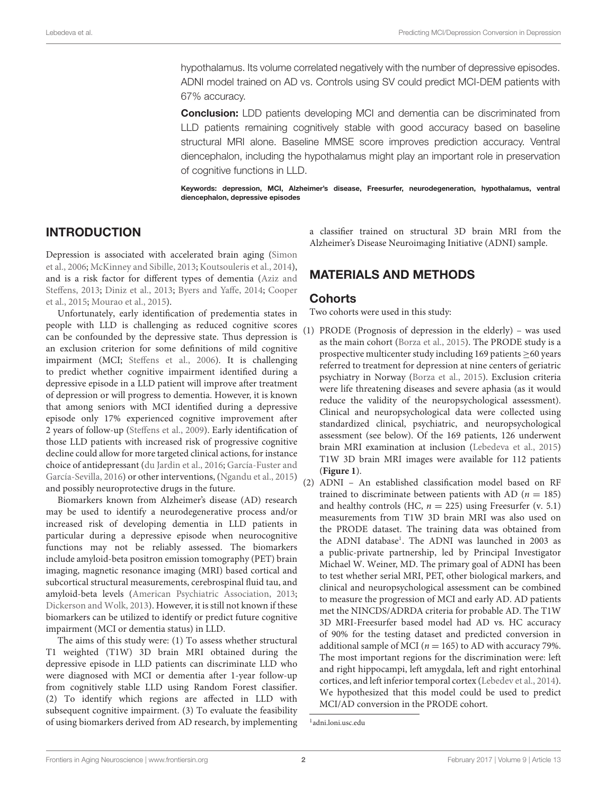hypothalamus. Its volume correlated negatively with the number of depressive episodes. ADNI model trained on AD vs. Controls using SV could predict MCI-DEM patients with 67% accuracy.

**Conclusion:** LDD patients developing MCI and dementia can be discriminated from LLD patients remaining cognitively stable with good accuracy based on baseline structural MRI alone. Baseline MMSE score improves prediction accuracy. Ventral diencephalon, including the hypothalamus might play an important role in preservation of cognitive functions in LLD.

Keywords: depression, MCI, Alzheimer's disease, Freesurfer, neurodegeneration, hypothalamus, ventral diencephalon, depressive episodes

# INTRODUCTION

Depression is associated with accelerated brain aging [\(Simon](#page-10-0) [et al., 2006;](#page-10-0) [McKinney and Sibille, 2013;](#page-9-0) [Koutsouleris et al., 2014\)](#page-9-1), and is a risk factor for different types of dementia [\(Aziz and](#page-8-0) [Steffens, 2013;](#page-8-0) [Diniz et al., 2013;](#page-9-2) [Byers and Yaffe, 2014;](#page-8-1) [Cooper](#page-8-2) [et al., 2015;](#page-8-2) [Mourao et al., 2015\)](#page-9-3).

Unfortunately, early identification of predementia states in people with LLD is challenging as reduced cognitive scores can be confounded by the depressive state. Thus depression is an exclusion criterion for some definitions of mild cognitive impairment (MCI; [Steffens et al., 2006\)](#page-10-1). It is challenging to predict whether cognitive impairment identified during a depressive episode in a LLD patient will improve after treatment of depression or will progress to dementia. However, it is known that among seniors with MCI identified during a depressive episode only 17% experienced cognitive improvement after 2 years of follow-up [\(Steffens et al., 2009\)](#page-10-2). Early identification of those LLD patients with increased risk of progressive cognitive decline could allow for more targeted clinical actions, for instance choice of antidepressant [\(du Jardin et al., 2016;](#page-9-4) [García-Fuster and](#page-9-5) [García-Sevilla, 2016\)](#page-9-5) or other interventions, [\(Ngandu et al., 2015\)](#page-9-6) and possibly neuroprotective drugs in the future.

Biomarkers known from Alzheimer's disease (AD) research may be used to identify a neurodegenerative process and/or increased risk of developing dementia in LLD patients in particular during a depressive episode when neurocognitive functions may not be reliably assessed. The biomarkers include amyloid-beta positron emission tomography (PET) brain imaging, magnetic resonance imaging (MRI) based cortical and subcortical structural measurements, cerebrospinal fluid tau, and amyloid-beta levels [\(American Psychiatric Association, 2013;](#page-8-3) [Dickerson and Wolk, 2013\)](#page-9-7). However, it is still not known if these biomarkers can be utilized to identify or predict future cognitive impairment (MCI or dementia status) in LLD.

The aims of this study were: (1) To assess whether structural T1 weighted (T1W) 3D brain MRI obtained during the depressive episode in LLD patients can discriminate LLD who were diagnosed with MCI or dementia after 1-year follow-up from cognitively stable LLD using Random Forest classifier. (2) To identify which regions are affected in LLD with subsequent cognitive impairment. (3) To evaluate the feasibility of using biomarkers derived from AD research, by implementing a classifier trained on structural 3D brain MRI from the Alzheimer's Disease Neuroimaging Initiative (ADNI) sample.

# MATERIALS AND METHODS

#### **Cohorts**

Two cohorts were used in this study:

(1) PRODE (Prognosis of depression in the elderly) – was used as the main cohort [\(Borza et al., 2015\)](#page-8-4). The PRODE study is a prospective multicenter study including 169 patients  $\geq$  60 years referred to treatment for depression at nine centers of geriatric psychiatry in Norway [\(Borza et al., 2015\)](#page-8-4). Exclusion criteria were life threatening diseases and severe aphasia (as it would reduce the validity of the neuropsychological assessment). Clinical and neuropsychological data were collected using standardized clinical, psychiatric, and neuropsychological assessment (see below). Of the 169 patients, 126 underwent brain MRI examination at inclusion [\(Lebedeva et al., 2015\)](#page-9-8) T1W 3D brain MRI images were available for 112 patients (**[Figure 1](#page-2-0)**).

(2) ADNI – An established classification model based on RF trained to discriminate between patients with AD ( $n = 185$ ) and healthy controls (HC,  $n = 225$ ) using Freesurfer (v. 5.1) measurements from T1W 3D brain MRI was also used on the PRODE dataset. The training data was obtained from the ADNI database<sup>[1](#page-1-0)</sup>. The ADNI was launched in 2003 as a public-private partnership, led by Principal Investigator Michael W. Weiner, MD. The primary goal of ADNI has been to test whether serial MRI, PET, other biological markers, and clinical and neuropsychological assessment can be combined to measure the progression of MCI and early AD. AD patients met the NINCDS/ADRDA criteria for probable AD. The T1W 3D MRI-Freesurfer based model had AD vs. HC accuracy of 90% for the testing dataset and predicted conversion in additional sample of MCI ( $n = 165$ ) to AD with accuracy 79%. The most important regions for the discrimination were: left and right hippocampi, left amygdala, left and right entorhinal cortices, and left inferior temporal cortex [\(Lebedev et al., 2014\)](#page-9-9). We hypothesized that this model could be used to predict MCI/AD conversion in the PRODE cohort.

<span id="page-1-0"></span><sup>1</sup> [adni.loni.usc.edu](http://adni.loni.usc.edu)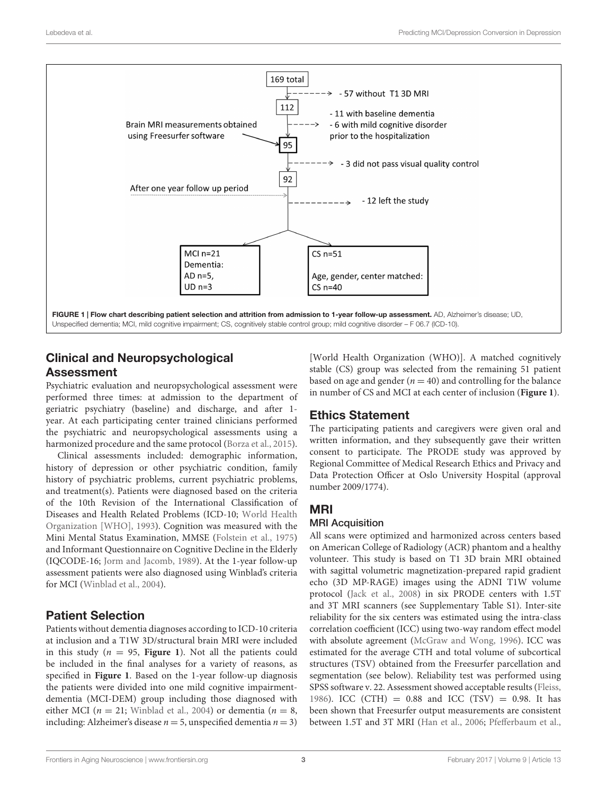

# <span id="page-2-0"></span>Clinical and Neuropsychological Assessment

Psychiatric evaluation and neuropsychological assessment were performed three times: at admission to the department of geriatric psychiatry (baseline) and discharge, and after 1 year. At each participating center trained clinicians performed the psychiatric and neuropsychological assessments using a harmonized procedure and the same protocol [\(Borza et al.,](#page-8-4) [2015\)](#page-8-4).

Clinical assessments included: demographic information, history of depression or other psychiatric condition, family history of psychiatric problems, current psychiatric problems, and treatment(s). Patients were diagnosed based on the criteria of the 10th Revision of the International Classification of Diseases and Health Related Problems (ICD-10; [World Health](#page-10-3) [Organization \[WHO\],](#page-10-3) [1993\)](#page-10-3). Cognition was measured with the Mini Mental Status Examination, MMSE [\(Folstein et al.,](#page-9-10) [1975\)](#page-9-10) and Informant Questionnaire on Cognitive Decline in the Elderly (IQCODE-16; [Jorm and Jacomb,](#page-9-11) [1989\)](#page-9-11). At the 1-year follow-up assessment patients were also diagnosed using Winblad's criteria for MCI [\(Winblad et al.,](#page-10-4) [2004\)](#page-10-4).

# Patient Selection

Patients without dementia diagnoses according to ICD-10 criteria at inclusion and a T1W 3D/structural brain MRI were included in this study ( $n = 95$ , **[Figure 1](#page-2-0)**). Not all the patients could be included in the final analyses for a variety of reasons, as specified in **[Figure 1](#page-2-0)**. Based on the 1-year follow-up diagnosis the patients were divided into one mild cognitive impairmentdementia (MCI-DEM) group including those diagnosed with either MCI ( $n = 21$ ; [Winblad et al.,](#page-10-4) [2004\)](#page-10-4) or dementia ( $n = 8$ , including: Alzheimer's disease  $n = 5$ , unspecified dementia  $n = 3$ )

[World Health Organization (WHO)]. A matched cognitively stable (CS) group was selected from the remaining 51 patient based on age and gender ( $n = 40$ ) and controlling for the balance in number of CS and MCI at each center of inclusion (**[Figure 1](#page-2-0)**).

# Ethics Statement

The participating patients and caregivers were given oral and written information, and they subsequently gave their written consent to participate. The PRODE study was approved by Regional Committee of Medical Research Ethics and Privacy and Data Protection Officer at Oslo University Hospital (approval number 2009/1774).

# MRI

### MRI Acquisition

All scans were optimized and harmonized across centers based on American College of Radiology (ACR) phantom and a healthy volunteer. This study is based on T1 3D brain MRI obtained with sagittal volumetric magnetization-prepared rapid gradient echo (3D MP-RAGE) images using the ADNI T1W volume protocol [\(Jack et al.,](#page-9-12) [2008\)](#page-9-12) in six PRODE centers with 1.5T and 3T MRI scanners (see Supplementary Table S1). Inter-site reliability for the six centers was estimated using the intra-class correlation coefficient (ICC) using two-way random effect model with absolute agreement [\(McGraw and Wong,](#page-9-13) [1996\)](#page-9-13). ICC was estimated for the average CTH and total volume of subcortical structures (TSV) obtained from the Freesurfer parcellation and segmentation (see below). Reliability test was performed using SPSS software v. 22. Assessment showed acceptable results [\(Fleiss,](#page-9-14) [1986\)](#page-9-14). ICC (CTH) =  $0.88$  and ICC (TSV) = 0.98. It has been shown that Freesurfer output measurements are consistent between 1.5T and 3T MRI [\(Han et al.,](#page-9-15) [2006;](#page-9-15) [Pfefferbaum et al.,](#page-9-16)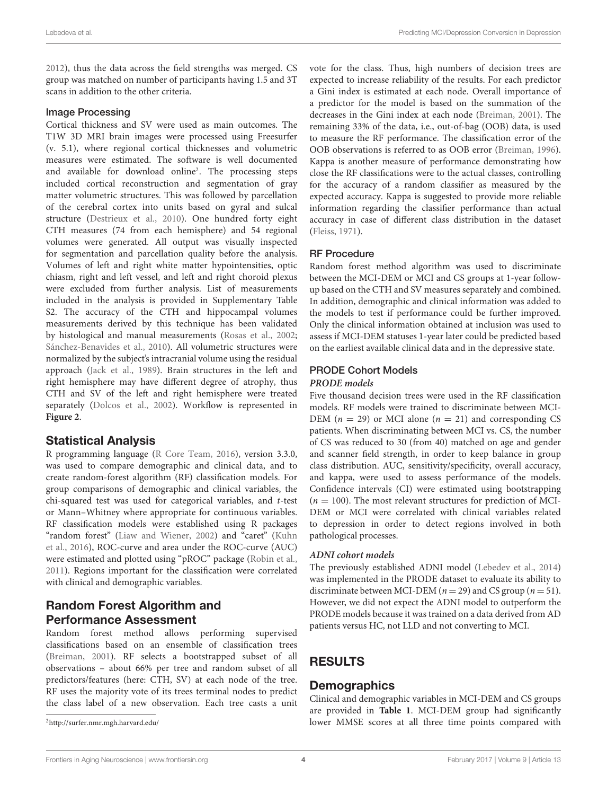[2012\)](#page-9-16), thus the data across the field strengths was merged. CS group was matched on number of participants having 1.5 and 3T scans in addition to the other criteria.

#### Image Processing

Cortical thickness and SV were used as main outcomes. The T1W 3D MRI brain images were processed using Freesurfer (v. 5.1), where regional cortical thicknesses and volumetric measures were estimated. The software is well documented and available for download online[2](#page-3-0) . The processing steps included cortical reconstruction and segmentation of gray matter volumetric structures. This was followed by parcellation of the cerebral cortex into units based on gyral and sulcal structure [\(Destrieux et al.,](#page-9-17) [2010\)](#page-9-17). One hundred forty eight CTH measures (74 from each hemisphere) and 54 regional volumes were generated. All output was visually inspected for segmentation and parcellation quality before the analysis. Volumes of left and right white matter hypointensities, optic chiasm, right and left vessel, and left and right choroid plexus were excluded from further analysis. List of measurements included in the analysis is provided in Supplementary Table S2. The accuracy of the CTH and hippocampal volumes measurements derived by this technique has been validated by histological and manual measurements [\(Rosas et al.,](#page-9-18) [2002;](#page-9-18) [Sánchez-Benavides et al.,](#page-10-5) [2010\)](#page-10-5). All volumetric structures were normalized by the subject's intracranial volume using the residual approach [\(Jack et al.,](#page-9-19) [1989\)](#page-9-19). Brain structures in the left and right hemisphere may have different degree of atrophy, thus CTH and SV of the left and right hemisphere were treated separately [\(Dolcos et al.,](#page-9-20) [2002\)](#page-9-20). Workflow is represented in **[Figure 2](#page-4-0)**.

### Statistical Analysis

R programming language [\(R Core Team,](#page-9-21) [2016\)](#page-9-21), version 3.3.0, was used to compare demographic and clinical data, and to create random-forest algorithm (RF) classification models. For group comparisons of demographic and clinical variables, the chi-squared test was used for categorical variables, and t-test or Mann–Whitney where appropriate for continuous variables. RF classification models were established using R packages "random forest" [\(Liaw and Wiener,](#page-9-22) [2002\)](#page-9-22) and "caret" [\(Kuhn](#page-9-23) [et al.,](#page-9-23) [2016\)](#page-9-23), ROC-curve and area under the ROC-curve (AUC) were estimated and plotted using "pROC" package [\(Robin et al.,](#page-9-24) [2011\)](#page-9-24). Regions important for the classification were correlated with clinical and demographic variables.

# Random Forest Algorithm and Performance Assessment

Random forest method allows performing supervised classifications based on an ensemble of classification trees [\(Breiman,](#page-8-5) [2001\)](#page-8-5). RF selects a bootstrapped subset of all observations – about 66% per tree and random subset of all predictors/features (here: CTH, SV) at each node of the tree. RF uses the majority vote of its trees terminal nodes to predict the class label of a new observation. Each tree casts a unit

<span id="page-3-0"></span><sup>2</sup><http://surfer.nmr.mgh.harvard.edu/>

vote for the class. Thus, high numbers of decision trees are expected to increase reliability of the results. For each predictor a Gini index is estimated at each node. Overall importance of a predictor for the model is based on the summation of the decreases in the Gini index at each node [\(Breiman,](#page-8-5) [2001\)](#page-8-5). The remaining 33% of the data, i.e., out-of-bag (OOB) data, is used to measure the RF performance. The classification error of the OOB observations is referred to as OOB error [\(Breiman,](#page-8-6) [1996\)](#page-8-6). Kappa is another measure of performance demonstrating how close the RF classifications were to the actual classes, controlling for the accuracy of a random classifier as measured by the expected accuracy. Kappa is suggested to provide more reliable information regarding the classifier performance than actual accuracy in case of different class distribution in the dataset [\(Fleiss,](#page-9-25) [1971\)](#page-9-25).

#### RF Procedure

Random forest method algorithm was used to discriminate between the MCI-DEM or MCI and CS groups at 1-year followup based on the CTH and SV measures separately and combined. In addition, demographic and clinical information was added to the models to test if performance could be further improved. Only the clinical information obtained at inclusion was used to assess if MCI-DEM statuses 1-year later could be predicted based on the earliest available clinical data and in the depressive state.

#### PRODE Cohort Models

#### **PRODE models**

Five thousand decision trees were used in the RF classification models. RF models were trained to discriminate between MCI-DEM ( $n = 29$ ) or MCI alone ( $n = 21$ ) and corresponding CS patients. When discriminating between MCI vs. CS, the number of CS was reduced to 30 (from 40) matched on age and gender and scanner field strength, in order to keep balance in group class distribution. AUC, sensitivity/specificity, overall accuracy, and kappa, were used to assess performance of the models. Confidence intervals (CI) were estimated using bootstrapping  $(n = 100)$ . The most relevant structures for prediction of MCI-DEM or MCI were correlated with clinical variables related to depression in order to detect regions involved in both pathological processes.

#### **ADNI cohort models**

The previously established ADNI model [\(Lebedev et al.,](#page-9-9) [2014\)](#page-9-9) was implemented in the PRODE dataset to evaluate its ability to discriminate between MCI-DEM ( $n = 29$ ) and CS group ( $n = 51$ ). However, we did not expect the ADNI model to outperform the PRODE models because it was trained on a data derived from AD patients versus HC, not LLD and not converting to MCI.

# RESULTS

### **Demographics**

Clinical and demographic variables in MCI-DEM and CS groups are provided in **[Table 1](#page-5-0)**. MCI-DEM group had significantly lower MMSE scores at all three time points compared with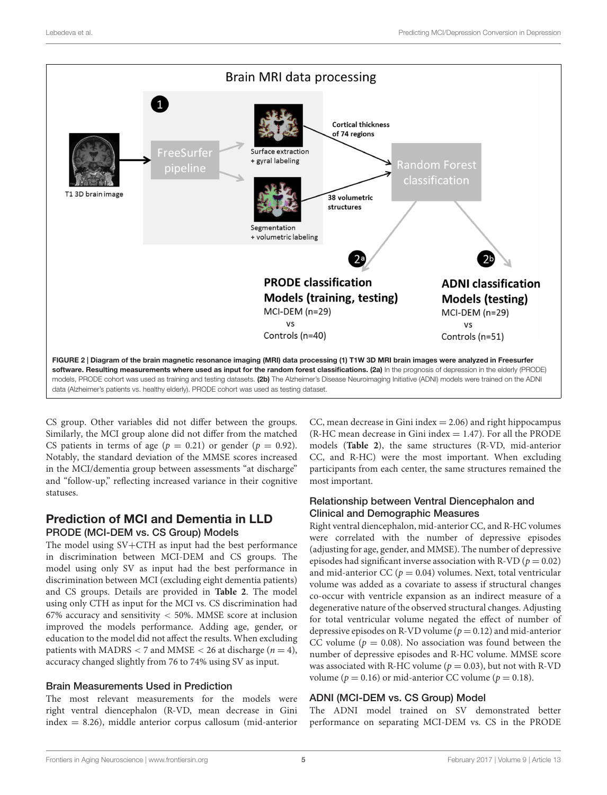

<span id="page-4-0"></span>CS group. Other variables did not differ between the groups. Similarly, the MCI group alone did not differ from the matched CS patients in terms of age ( $p = 0.21$ ) or gender ( $p = 0.92$ ). Notably, the standard deviation of the MMSE scores increased in the MCI/dementia group between assessments "at discharge" and "follow-up," reflecting increased variance in their cognitive statuses.

# Prediction of MCI and Dementia in LLD PRODE (MCI-DEM vs. CS Group) Models

The model using SV+CTH as input had the best performance in discrimination between MCI-DEM and CS groups. The model using only SV as input had the best performance in discrimination between MCI (excluding eight dementia patients) and CS groups. Details are provided in **[Table 2](#page-6-0)**. The model using only CTH as input for the MCI vs. CS discrimination had 67% accuracy and sensitivity < 50%. MMSE score at inclusion improved the models performance. Adding age, gender, or education to the model did not affect the results. When excluding patients with MADRS < 7 and MMSE < 26 at discharge ( $n = 4$ ), accuracy changed slightly from 76 to 74% using SV as input.

#### Brain Measurements Used in Prediction

The most relevant measurements for the models were right ventral diencephalon (R-VD, mean decrease in Gini index = 8.26), middle anterior corpus callosum (mid-anterior CC, mean decrease in Gini index  $= 2.06$ ) and right hippocampus  $(R-HC)$  mean decrease in Gini index = 1.47). For all the PRODE models (**[Table 2](#page-6-0)**), the same structures (R-VD, mid-anterior CC, and R-HC) were the most important. When excluding participants from each center, the same structures remained the most important.

#### Relationship between Ventral Diencephalon and Clinical and Demographic Measures

Right ventral diencephalon, mid-anterior CC, and R-HC volumes were correlated with the number of depressive episodes (adjusting for age, gender, and MMSE). The number of depressive episodes had significant inverse association with R-VD ( $p = 0.02$ ) and mid-anterior CC ( $p = 0.04$ ) volumes. Next, total ventricular volume was added as a covariate to assess if structural changes co-occur with ventricle expansion as an indirect measure of a degenerative nature of the observed structural changes. Adjusting for total ventricular volume negated the effect of number of depressive episodes on R-VD volume ( $p = 0.12$ ) and mid-anterior CC volume ( $p = 0.08$ ). No association was found between the number of depressive episodes and R-HC volume. MMSE score was associated with R-HC volume ( $p = 0.03$ ), but not with R-VD volume ( $p = 0.16$ ) or mid-anterior CC volume ( $p = 0.18$ ).

### ADNI (MCI-DEM vs. CS Group) Model

The ADNI model trained on SV demonstrated better performance on separating MCI-DEM vs. CS in the PRODE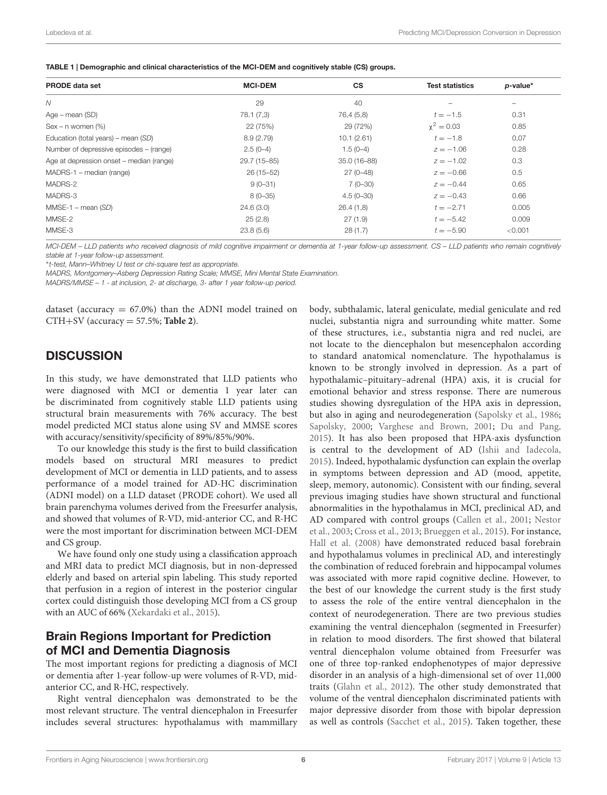<span id="page-5-0"></span>

| TABLE 1   Demographic and clinical characteristics of the MCI-DEM and cognitively stable (CS) groups. |  |  |
|-------------------------------------------------------------------------------------------------------|--|--|
|-------------------------------------------------------------------------------------------------------|--|--|

| <b>PRODE data set</b>                    | <b>MCI-DEM</b> | <b>CS</b>    | <b>Test statistics</b> | $p$ -value* |
|------------------------------------------|----------------|--------------|------------------------|-------------|
| $\mathcal N$                             | 29             | 40           |                        |             |
| Age – mean (SD)                          | 78.1 (7,3)     | 76,4 (5,8)   | $t = -1.5$             | 0.31        |
| $Sex - n$ women $(\%)$                   | 22 (75%)       | 29 (72%)     | $\chi^2 = 0.03$        | 0.85        |
| Education (total years) – mean (SD)      | 8.9(2.79)      | 10.1(2.61)   | $t = -1.8$             | 0,07        |
| Number of depressive episodes – (range)  | $2.5(0-4)$     | $1.5(0-4)$   | $z = -1.06$            | 0.28        |
| Age at depression onset – median (range) | 29.7 (15-85)   | 35.0 (16-88) | $z = -1.02$            | 0.3         |
| MADRS-1 – median (range)                 | $26(15-52)$    | $27(0-48)$   | $z = -0.66$            | 0.5         |
| MADRS-2                                  | $9(0-31)$      | $7(0-30)$    | $z = -0.44$            | 0.65        |
| MADRS-3                                  | $8(0 - 35)$    | $4.5(0-30)$  | $z = -0.43$            | 0.66        |
| $MMSE-1 - mean (SD)$                     | 24.6(3.0)      | 26.4(1,8)    | $t = -2.71$            | 0.005       |
| MMSE-2                                   | 25(2.8)        | 27(1.9)      | $t = -5.42$            | 0.009       |
| MMSE-3                                   | 23.8(5.6)      | 28(1.7)      | $t = -5.90$            | < 0.001     |
|                                          |                |              |                        |             |

MCI-DEM – LLD patients who received diagnosis of mild cognitive impairment or dementia at 1-year follow-up assessment. CS – LLD patients who remain cognitively stable at 1-year follow-up assessment.

∗ t-test, Mann–Whitney U test or chi-square test as appropriate.

MADRS, Montgomery–Asberg Depression Rating Scale; MMSE, Mini Mental State Examination.

MADRS/MMSE – 1 - at inclusion, 2- at discharge, 3- after 1 year follow-up period.

dataset (accuracy  $= 67.0\%$ ) than the ADNI model trained on CTH+SV (accuracy = 57.5%; **[Table 2](#page-6-0)**).

# **DISCUSSION**

In this study, we have demonstrated that LLD patients who were diagnosed with MCI or dementia 1 year later can be discriminated from cognitively stable LLD patients using structural brain measurements with 76% accuracy. The best model predicted MCI status alone using SV and MMSE scores with accuracy/sensitivity/specificity of 89%/85%/90%.

To our knowledge this study is the first to build classification models based on structural MRI measures to predict development of MCI or dementia in LLD patients, and to assess performance of a model trained for AD-HC discrimination (ADNI model) on a LLD dataset (PRODE cohort). We used all brain parenchyma volumes derived from the Freesurfer analysis, and showed that volumes of R-VD, mid-anterior CC, and R-HC were the most important for discrimination between MCI-DEM and CS group.

We have found only one study using a classification approach and MRI data to predict MCI diagnosis, but in non-depressed elderly and based on arterial spin labeling. This study reported that perfusion in a region of interest in the posterior cingular cortex could distinguish those developing MCI from a CS group with an AUC of 66% [\(Xekardaki et al.,](#page-10-6) [2015\)](#page-10-6).

# Brain Regions Important for Prediction of MCI and Dementia Diagnosis

The most important regions for predicting a diagnosis of MCI or dementia after 1-year follow-up were volumes of R-VD, midanterior CC, and R-HC, respectively.

Right ventral diencephalon was demonstrated to be the most relevant structure. The ventral diencephalon in Freesurfer includes several structures: hypothalamus with mammillary

body, subthalamic, lateral geniculate, medial geniculate and red nuclei, substantia nigra and surrounding white matter. Some of these structures, i.e., substantia nigra and red nuclei, are not locate to the diencephalon but mesencephalon according to standard anatomical nomenclature. The hypothalamus is known to be strongly involved in depression. As a part of hypothalamic–pituitary–adrenal (HPA) axis, it is crucial for emotional behavior and stress response. There are numerous studies showing dysregulation of the HPA axis in depression, but also in aging and neurodegeneration [\(Sapolsky et al.,](#page-10-7) [1986;](#page-10-7) [Sapolsky,](#page-10-8) [2000;](#page-10-8) [Varghese and Brown,](#page-10-9) [2001;](#page-10-9) [Du and Pang,](#page-9-26) [2015\)](#page-9-26). It has also been proposed that HPA-axis dysfunction is central to the development of AD [\(Ishii and Iadecola,](#page-9-27) [2015\)](#page-9-27). Indeed, hypothalamic dysfunction can explain the overlap in symptoms between depression and AD (mood, appetite, sleep, memory, autonomic). Consistent with our finding, several previous imaging studies have shown structural and functional abnormalities in the hypothalamus in MCI, preclinical AD, and AD compared with control groups [\(Callen et al.,](#page-8-7) [2001;](#page-8-7) [Nestor](#page-9-28) [et al.,](#page-9-28) [2003;](#page-9-28) [Cross et al.,](#page-8-8) [2013;](#page-8-8) [Brueggen et al.,](#page-8-9) [2015\)](#page-8-9). For instance, [Hall et al.](#page-9-29) [\(2008\)](#page-9-29) have demonstrated reduced basal forebrain and hypothalamus volumes in preclinical AD, and interestingly the combination of reduced forebrain and hippocampal volumes was associated with more rapid cognitive decline. However, to the best of our knowledge the current study is the first study to assess the role of the entire ventral diencephalon in the context of neurodegeneration. There are two previous studies examining the ventral diencephalon (segmented in Freesurfer) in relation to mood disorders. The first showed that bilateral ventral diencephalon volume obtained from Freesurfer was one of three top-ranked endophenotypes of major depressive disorder in an analysis of a high-dimensional set of over 11,000 traits [\(Glahn et al.,](#page-9-30) [2012\)](#page-9-30). The other study demonstrated that volume of the ventral diencephalon discriminated patients with major depressive disorder from those with bipolar depression as well as controls [\(Sacchet et al.,](#page-10-10) [2015\)](#page-10-10). Taken together, these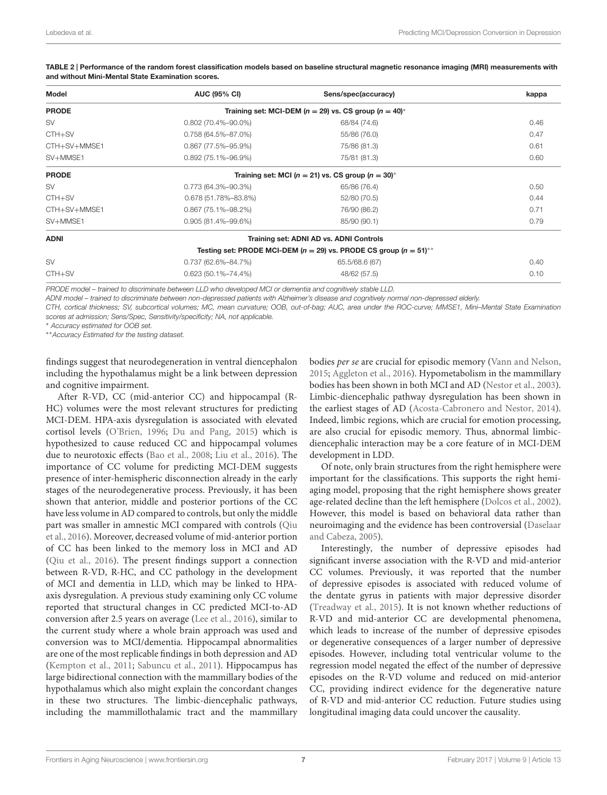| Model        | <b>AUC (95% CI)</b>                                           | Sens/spec(accuracy)                                                       | kappa |  |  |
|--------------|---------------------------------------------------------------|---------------------------------------------------------------------------|-------|--|--|
| <b>PRODE</b> | Training set: MCI-DEM ( $n = 29$ ) vs. CS group ( $n = 40$ )* |                                                                           |       |  |  |
| <b>SV</b>    | $0.802(70.4\% - 90.0\%)$                                      | 68/84 (74.6)                                                              | 0.46  |  |  |
| CTH+SV       | $0.758(64.5\% - 87.0\%)$                                      | 55/86 (76.0)                                                              | 0.47  |  |  |
| CTH+SV+MMSE1 | $0.867$ (77.5%-95.9%)                                         | 75/86 (81.3)                                                              | 0.61  |  |  |
| SV+MMSE1     | $0.892(75.1\% - 96.9\%)$                                      | 75/81 (81.3)                                                              | 0.60  |  |  |
| <b>PRODE</b> | Training set: MCI ( $n = 21$ ) vs. CS group ( $n = 30$ )*     |                                                                           |       |  |  |
| <b>SV</b>    | $0.773(64.3\text{\textdegree}-90.3\text{\textdegree})$        | 65/86 (76.4)                                                              | 0.50  |  |  |
| $CTH + SV$   | 0.678 (51.78%-83.8%)                                          | 52/80 (70.5)                                                              | 0.44  |  |  |
| CTH+SV+MMSE1 | $0.867(75.1\% - 98.2\%)$                                      | 76/90 (86.2)                                                              | 0.71  |  |  |
| SV+MMSE1     | $0.905(81.4\% - 99.6\%)$                                      | 85/90 (90.1)                                                              | 0.79  |  |  |
| <b>ADNI</b>  |                                                               | Training set: ADNI AD vs. ADNI Controls                                   |       |  |  |
|              |                                                               | Testing set: PRODE MCI-DEM ( $n = 29$ ) vs. PRODE CS group ( $n = 51$ )** |       |  |  |
| <b>SV</b>    | 0.737 (62.6%-84.7%)                                           | 65.5/68.6 (67)                                                            | 0.40  |  |  |
| CTH+SV       | $0.623(50.1\% - 74.4\%)$                                      | 48/62 (57.5)                                                              | 0.10  |  |  |

<span id="page-6-0"></span>TABLE 2 | Performance of the random forest classification models based on baseline structural magnetic resonance imaging (MRI) measurements with and without Mini-Mental State Examination scores.

PRODE model – trained to discriminate between LLD who developed MCI or dementia and cognitively stable LLD.

ADNI model – trained to discriminate between non-depressed patients with Alzheimer's disease and cognitively normal non-depressed elderly.

CTH, cortical thickness; SV, subcortical volumes; MC, mean curvature; OOB, out-of-bag; AUC, area under the ROC-curve; MMSE1, Mini–Mental State Examination scores at admission; Sens/Spec, Sensitivity/specificity; NA, not applicable.

<sup>∗</sup> Accuracy estimated for OOB set.

∗∗Accuracy Estimated for the testing dataset.

findings suggest that neurodegeneration in ventral diencephalon including the hypothalamus might be a link between depression and cognitive impairment.

After R-VD, CC (mid-anterior CC) and hippocampal (R-HC) volumes were the most relevant structures for predicting MCI-DEM. HPA-axis dysregulation is associated with elevated cortisol levels [\(O'Brien,](#page-9-31) [1996;](#page-9-31) [Du and Pang,](#page-9-26) [2015\)](#page-9-26) which is hypothesized to cause reduced CC and hippocampal volumes due to neurotoxic effects [\(Bao et al.,](#page-8-10) [2008;](#page-8-10) [Liu et al.,](#page-9-32) [2016\)](#page-9-32). The importance of CC volume for predicting MCI-DEM suggests presence of inter-hemispheric disconnection already in the early stages of the neurodegenerative process. Previously, it has been shown that anterior, middle and posterior portions of the CC have less volume in AD compared to controls, but only the middle part was smaller in amnestic MCI compared with controls [\(Qiu](#page-9-33) [et al.,](#page-9-33) [2016\)](#page-9-33). Moreover, decreased volume of mid-anterior portion of CC has been linked to the memory loss in MCI and AD [\(Qiu et al.,](#page-9-33) [2016\)](#page-9-33). The present findings support a connection between R-VD, R-HC, and CC pathology in the development of MCI and dementia in LLD, which may be linked to HPAaxis dysregulation. A previous study examining only CC volume reported that structural changes in CC predicted MCI-to-AD conversion after 2.5 years on average [\(Lee et al.,](#page-9-34) [2016\)](#page-9-34), similar to the current study where a whole brain approach was used and conversion was to MCI/dementia. Hippocampal abnormalities are one of the most replicable findings in both depression and AD [\(Kempton et al.,](#page-9-35) [2011;](#page-9-35) [Sabuncu et al.,](#page-9-36) [2011\)](#page-9-36). Hippocampus has large bidirectional connection with the mammillary bodies of the hypothalamus which also might explain the concordant changes in these two structures. The limbic-diencephalic pathways, including the mammillothalamic tract and the mammillary bodies per se are crucial for episodic memory [\(Vann and Nelson,](#page-10-11) [2015;](#page-10-11) [Aggleton et al.,](#page-8-11) [2016\)](#page-8-11). Hypometabolism in the mammillary bodies has been shown in both MCI and AD [\(Nestor et al.,](#page-9-28) [2003\)](#page-9-28). Limbic-diencephalic pathway dysregulation has been shown in the earliest stages of AD [\(Acosta-Cabronero and Nestor,](#page-8-12) [2014\)](#page-8-12). Indeed, limbic regions, which are crucial for emotion processing, are also crucial for episodic memory. Thus, abnormal limbicdiencephalic interaction may be a core feature of in MCI-DEM development in LDD.

Of note, only brain structures from the right hemisphere were important for the classifications. This supports the right hemiaging model, proposing that the right hemisphere shows greater age-related decline than the left hemisphere [\(Dolcos et al.,](#page-9-20) [2002\)](#page-9-20). However, this model is based on behavioral data rather than neuroimaging and the evidence has been controversial [\(Daselaar](#page-8-13) [and Cabeza,](#page-8-13) [2005\)](#page-8-13).

Interestingly, the number of depressive episodes had significant inverse association with the R-VD and mid-anterior CC volumes. Previously, it was reported that the number of depressive episodes is associated with reduced volume of the dentate gyrus in patients with major depressive disorder [\(Treadway et al.,](#page-10-12) [2015\)](#page-10-12). It is not known whether reductions of R-VD and mid-anterior CC are developmental phenomena, which leads to increase of the number of depressive episodes or degenerative consequences of a larger number of depressive episodes. However, including total ventricular volume to the regression model negated the effect of the number of depressive episodes on the R-VD volume and reduced on mid-anterior CC, providing indirect evidence for the degenerative nature of R-VD and mid-anterior CC reduction. Future studies using longitudinal imaging data could uncover the causality.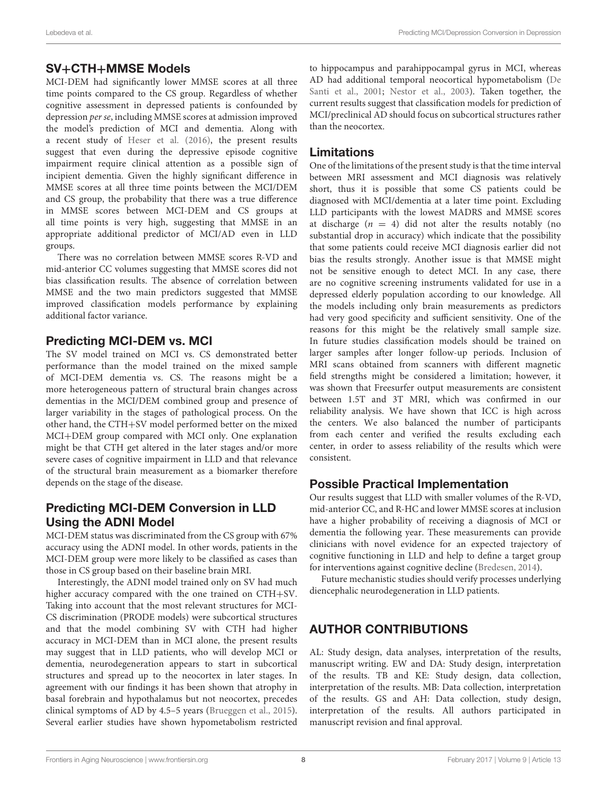### SV+CTH+MMSE Models

MCI-DEM had significantly lower MMSE scores at all three time points compared to the CS group. Regardless of whether cognitive assessment in depressed patients is confounded by depression per se, including MMSE scores at admission improved the model's prediction of MCI and dementia. Along with a recent study of [Heser et al.](#page-9-37) [\(2016\)](#page-9-37), the present results suggest that even during the depressive episode cognitive impairment require clinical attention as a possible sign of incipient dementia. Given the highly significant difference in MMSE scores at all three time points between the MCI/DEM and CS group, the probability that there was a true difference in MMSE scores between MCI-DEM and CS groups at all time points is very high, suggesting that MMSE in an appropriate additional predictor of MCI/AD even in LLD groups.

There was no correlation between MMSE scores R-VD and mid-anterior CC volumes suggesting that MMSE scores did not bias classification results. The absence of correlation between MMSE and the two main predictors suggested that MMSE improved classification models performance by explaining additional factor variance.

# Predicting MCI-DEM vs. MCI

The SV model trained on MCI vs. CS demonstrated better performance than the model trained on the mixed sample of MCI-DEM dementia vs. CS. The reasons might be a more heterogeneous pattern of structural brain changes across dementias in the MCI/DEM combined group and presence of larger variability in the stages of pathological process. On the other hand, the CTH+SV model performed better on the mixed MCI+DEM group compared with MCI only. One explanation might be that CTH get altered in the later stages and/or more severe cases of cognitive impairment in LLD and that relevance of the structural brain measurement as a biomarker therefore depends on the stage of the disease.

# Predicting MCI-DEM Conversion in LLD Using the ADNI Model

MCI-DEM status was discriminated from the CS group with 67% accuracy using the ADNI model. In other words, patients in the MCI-DEM group were more likely to be classified as cases than those in CS group based on their baseline brain MRI.

Interestingly, the ADNI model trained only on SV had much higher accuracy compared with the one trained on CTH+SV. Taking into account that the most relevant structures for MCI-CS discrimination (PRODE models) were subcortical structures and that the model combining SV with CTH had higher accuracy in MCI-DEM than in MCI alone, the present results may suggest that in LLD patients, who will develop MCI or dementia, neurodegeneration appears to start in subcortical structures and spread up to the neocortex in later stages. In agreement with our findings it has been shown that atrophy in basal forebrain and hypothalamus but not neocortex, precedes clinical symptoms of AD by 4.5–5 years [\(Brueggen et al.,](#page-8-9) [2015\)](#page-8-9). Several earlier studies have shown hypometabolism restricted

to hippocampus and parahippocampal gyrus in MCI, whereas AD had additional temporal neocortical hypometabolism [\(De](#page-8-14) [Santi et al.,](#page-8-14) [2001;](#page-8-14) [Nestor et al.,](#page-9-28) [2003\)](#page-9-28). Taken together, the current results suggest that classification models for prediction of MCI/preclinical AD should focus on subcortical structures rather than the neocortex.

### Limitations

One of the limitations of the present study is that the time interval between MRI assessment and MCI diagnosis was relatively short, thus it is possible that some CS patients could be diagnosed with MCI/dementia at a later time point. Excluding LLD participants with the lowest MADRS and MMSE scores at discharge  $(n = 4)$  did not alter the results notably (no substantial drop in accuracy) which indicate that the possibility that some patients could receive MCI diagnosis earlier did not bias the results strongly. Another issue is that MMSE might not be sensitive enough to detect MCI. In any case, there are no cognitive screening instruments validated for use in a depressed elderly population according to our knowledge. All the models including only brain measurements as predictors had very good specificity and sufficient sensitivity. One of the reasons for this might be the relatively small sample size. In future studies classification models should be trained on larger samples after longer follow-up periods. Inclusion of MRI scans obtained from scanners with different magnetic field strengths might be considered a limitation; however, it was shown that Freesurfer output measurements are consistent between 1.5T and 3T MRI, which was confirmed in our reliability analysis. We have shown that ICC is high across the centers. We also balanced the number of participants from each center and verified the results excluding each center, in order to assess reliability of the results which were consistent.

# Possible Practical Implementation

Our results suggest that LLD with smaller volumes of the R-VD, mid-anterior CC, and R-HC and lower MMSE scores at inclusion have a higher probability of receiving a diagnosis of MCI or dementia the following year. These measurements can provide clinicians with novel evidence for an expected trajectory of cognitive functioning in LLD and help to define a target group for interventions against cognitive decline [\(Bredesen,](#page-8-15) [2014\)](#page-8-15).

Future mechanistic studies should verify processes underlying diencephalic neurodegeneration in LLD patients.

# AUTHOR CONTRIBUTIONS

AL: Study design, data analyses, interpretation of the results, manuscript writing. EW and DA: Study design, interpretation of the results. TB and KE: Study design, data collection, interpretation of the results. MB: Data collection, interpretation of the results. GS and AH: Data collection, study design, interpretation of the results. All authors participated in manuscript revision and final approval.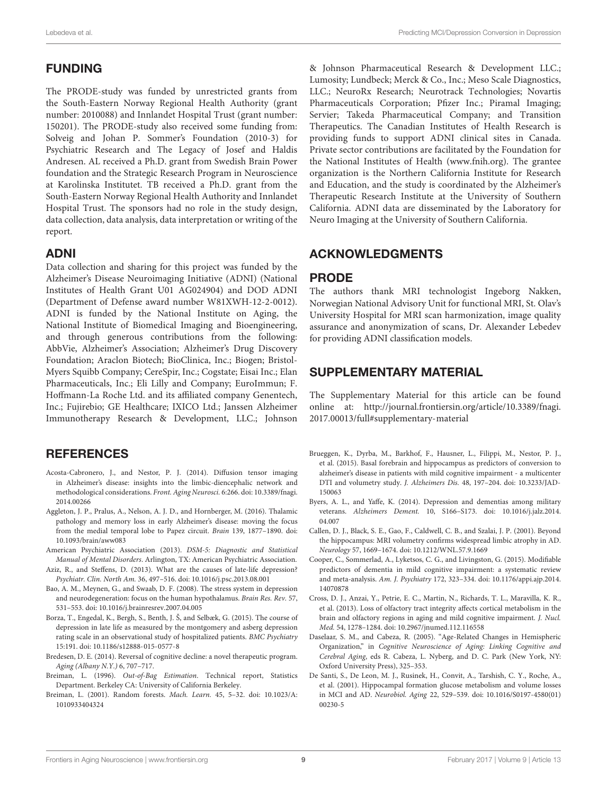# FUNDING

The PRODE-study was funded by unrestricted grants from the South-Eastern Norway Regional Health Authority (grant number: 2010088) and Innlandet Hospital Trust (grant number: 150201). The PRODE-study also received some funding from: Solveig and Johan P. Sommer's Foundation (2010-3) for Psychiatric Research and The Legacy of Josef and Haldis Andresen. AL received a Ph.D. grant from Swedish Brain Power foundation and the Strategic Research Program in Neuroscience at Karolinska Institutet. TB received a Ph.D. grant from the South-Eastern Norway Regional Health Authority and Innlandet Hospital Trust. The sponsors had no role in the study design, data collection, data analysis, data interpretation or writing of the report.

# ADNI

Data collection and sharing for this project was funded by the Alzheimer's Disease Neuroimaging Initiative (ADNI) (National Institutes of Health Grant U01 AG024904) and DOD ADNI (Department of Defense award number W81XWH-12-2-0012). ADNI is funded by the National Institute on Aging, the National Institute of Biomedical Imaging and Bioengineering, and through generous contributions from the following: AbbVie, Alzheimer's Association; Alzheimer's Drug Discovery Foundation; Araclon Biotech; BioClinica, Inc.; Biogen; Bristol-Myers Squibb Company; CereSpir, Inc.; Cogstate; Eisai Inc.; Elan Pharmaceuticals, Inc.; Eli Lilly and Company; EuroImmun; F. Hoffmann-La Roche Ltd. and its affiliated company Genentech, Inc.; Fujirebio; GE Healthcare; IXICO Ltd.; Janssen Alzheimer Immunotherapy Research & Development, LLC.; Johnson

# **REFERENCES**

- <span id="page-8-12"></span>Acosta-Cabronero, J., and Nestor, P. J. (2014). Diffusion tensor imaging in Alzheimer's disease: insights into the limbic-diencephalic network and methodological considerations. Front. Aging Neurosci. 6:266. [doi: 10.3389/fnagi.](https://doi.org/10.3389/fnagi.2014.00266) [2014.00266](https://doi.org/10.3389/fnagi.2014.00266)
- <span id="page-8-11"></span>Aggleton, J. P., Pralus, A., Nelson, A. J. D., and Hornberger, M. (2016). Thalamic pathology and memory loss in early Alzheimer's disease: moving the focus from the medial temporal lobe to Papez circuit. Brain 139, 1877–1890. [doi:](https://doi.org/10.1093/brain/aww083) [10.1093/brain/aww083](https://doi.org/10.1093/brain/aww083)
- <span id="page-8-3"></span>American Psychiatric Association (2013). DSM-5: Diagnostic and Statistical Manual of Mental Disorders. Arlington, TX: American Psychiatric Association.
- <span id="page-8-0"></span>Aziz, R., and Steffens, D. (2013). What are the causes of late-life depression? Psychiatr. Clin. North Am. 36, 497–516. [doi: 10.1016/j.psc.2013.08.001](https://doi.org/10.1016/j.psc.2013.08.001)
- <span id="page-8-10"></span>Bao, A. M., Meynen, G., and Swaab, D. F. (2008). The stress system in depression and neurodegeneration: focus on the human hypothalamus. Brain Res. Rev. 57, 531–553. [doi: 10.1016/j.brainresrev.2007.04.005](https://doi.org/10.1016/j.brainresrev.2007.04.005)
- <span id="page-8-4"></span>Borza, T., Engedal, K., Bergh, S., Benth, J. Š, and Selbæk, G. (2015). The course of depression in late life as measured by the montgomery and asberg depression rating scale in an observational study of hospitalized patients. BMC Psychiatry 15:191. [doi: 10.1186/s12888-015-0577-8](https://doi.org/10.1186/s12888-015-0577-8)
- <span id="page-8-15"></span>Bredesen, D. E. (2014). Reversal of cognitive decline: a novel therapeutic program. Aging (Albany N.Y.) 6, 707–717.
- <span id="page-8-6"></span>Breiman, L. (1996). Out-of-Bag Estimation. Technical report, Statistics Department. Berkeley CA: University of California Berkeley.
- <span id="page-8-5"></span>Breiman, L. (2001). Random forests. Mach. Learn. 45, 5–32. [doi: 10.1023/A:](https://doi.org/10.1023/A:1010933404324) [1010933404324](https://doi.org/10.1023/A:1010933404324)

& Johnson Pharmaceutical Research & Development LLC.; Lumosity; Lundbeck; Merck & Co., Inc.; Meso Scale Diagnostics, LLC.; NeuroRx Research; Neurotrack Technologies; Novartis Pharmaceuticals Corporation; Pfizer Inc.; Piramal Imaging; Servier; Takeda Pharmaceutical Company; and Transition Therapeutics. The Canadian Institutes of Health Research is providing funds to support ADNI clinical sites in Canada. Private sector contributions are facilitated by the Foundation for the National Institutes of Health [\(www.fnih.org\)](http://www.fnih.org). The grantee organization is the Northern California Institute for Research and Education, and the study is coordinated by the Alzheimer's Therapeutic Research Institute at the University of Southern California. ADNI data are disseminated by the Laboratory for Neuro Imaging at the University of Southern California.

### ACKNOWLEDGMENTS

### PRODE

The authors thank MRI technologist Ingeborg Nakken, Norwegian National Advisory Unit for functional MRI, St. Olav's University Hospital for MRI scan harmonization, image quality assurance and anonymization of scans, Dr. Alexander Lebedev for providing ADNI classification models.

# SUPPLEMENTARY MATERIAL

The Supplementary Material for this article can be found online at: [http://journal.frontiersin.org/article/10.3389/fnagi.](http://journal.frontiersin.org/article/10.3389/fnagi.2017.00013/full#supplementary-material) [2017.00013/full#supplementary-material](http://journal.frontiersin.org/article/10.3389/fnagi.2017.00013/full#supplementary-material)

- <span id="page-8-9"></span>Brueggen, K., Dyrba, M., Barkhof, F., Hausner, L., Filippi, M., Nestor, P. J., et al. (2015). Basal forebrain and hippocampus as predictors of conversion to alzheimer's disease in patients with mild cognitive impairment - a multicenter DTI and volumetry study. J. Alzheimers Dis. 48, 197–204. [doi: 10.3233/JAD-](https://doi.org/10.3233/JAD-150063)[150063](https://doi.org/10.3233/JAD-150063)
- <span id="page-8-1"></span>Byers, A. L., and Yaffe, K. (2014). Depression and dementias among military veterans. Alzheimers Dement. 10, S166–S173. [doi: 10.1016/j.jalz.2014.](https://doi.org/10.1016/j.jalz.2014.04.007) [04.007](https://doi.org/10.1016/j.jalz.2014.04.007)
- <span id="page-8-7"></span>Callen, D. J., Black, S. E., Gao, F., Caldwell, C. B., and Szalai, J. P. (2001). Beyond the hippocampus: MRI volumetry confirms widespread limbic atrophy in AD. Neurology 57, 1669–1674. [doi: 10.1212/WNL.57.9.1669](https://doi.org/10.1212/WNL.57.9.1669)
- <span id="page-8-2"></span>Cooper, C., Sommerlad, A., Lyketsos, C. G., and Livingston, G. (2015). Modifiable predictors of dementia in mild cognitive impairment: a systematic review and meta-analysis. Am. J. Psychiatry 172, 323–334. [doi: 10.1176/appi.ajp.2014.](https://doi.org/10.1176/appi.ajp.2014.14070878) [14070878](https://doi.org/10.1176/appi.ajp.2014.14070878)
- <span id="page-8-8"></span>Cross, D. J., Anzai, Y., Petrie, E. C., Martin, N., Richards, T. L., Maravilla, K. R., et al. (2013). Loss of olfactory tract integrity affects cortical metabolism in the brain and olfactory regions in aging and mild cognitive impairment. J. Nucl. Med. 54, 1278–1284. [doi: 10.2967/jnumed.112.116558](https://doi.org/10.2967/jnumed.112.116558)
- <span id="page-8-13"></span>Daselaar, S. M., and Cabeza, R. (2005). "Age-Related Changes in Hemispheric Organization," in Cognitive Neuroscience of Aging: Linking Cognitive and Cerebral Aging, eds R. Cabeza, L. Nyberg, and D. C. Park (New York, NY: Oxford University Press), 325–353.
- <span id="page-8-14"></span>De Santi, S., De Leon, M. J., Rusinek, H., Convit, A., Tarshish, C. Y., Roche, A., et al. (2001). Hippocampal formation glucose metabolism and volume losses in MCI and AD. Neurobiol. Aging 22, 529–539. [doi: 10.1016/S0197-4580\(01\)](https://doi.org/10.1016/S0197-4580(01)00230-5) [00230-5](https://doi.org/10.1016/S0197-4580(01)00230-5)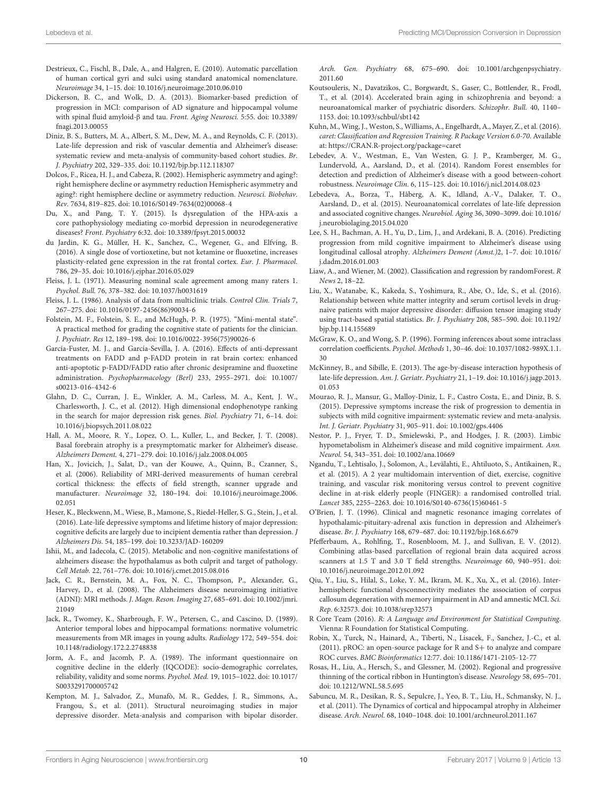- <span id="page-9-17"></span>Destrieux, C., Fischl, B., Dale, A., and Halgren, E. (2010). Automatic parcellation of human cortical gyri and sulci using standard anatomical nomenclature. Neuroimage 34, 1–15. [doi: 10.1016/j.neuroimage.2010.06.010](https://doi.org/10.1016/j.neuroimage.2010.06.010)
- <span id="page-9-7"></span>Dickerson, B. C., and Wolk, D. A. (2013). Biomarker-based prediction of progression in MCI: comparison of AD signature and hippocampal volume with spinal fluid amyloid-β and tau. Front. Aging Neurosci. 5:55. [doi: 10.3389/](https://doi.org/10.3389/fnagi.2013.00055) [fnagi.2013.00055](https://doi.org/10.3389/fnagi.2013.00055)
- <span id="page-9-2"></span>Diniz, B. S., Butters, M. A., Albert, S. M., Dew, M. A., and Reynolds, C. F. (2013). Late-life depression and risk of vascular dementia and Alzheimer's disease: systematic review and meta-analysis of community-based cohort studies. Br. J. Psychiatry 202, 329–335. [doi: 10.1192/bjp.bp.112.118307](https://doi.org/10.1192/bjp.bp.112.118307)
- <span id="page-9-20"></span>Dolcos, F., Ricea, H. J., and Cabeza, R. (2002). Hemispheric asymmetry and aging?: right hemisphere decline or asymmetry reduction Hemispheric asymmetry and aging?: right hemisphere decline or asymmetry reduction. Neurosci. Biobehav. Rev. 7634, 819–825. [doi: 10.1016/S0149-7634\(02\)00068-4](https://doi.org/10.1016/S0149-7634(02)00068-4)
- <span id="page-9-26"></span>Du, X., and Pang, T. Y. (2015). Is dysregulation of the HPA-axis a core pathophysiology mediating co-morbid depression in neurodegenerative diseases? Front. Psychiatry 6:32. [doi: 10.3389/fpsyt.2015.00032](https://doi.org/10.3389/fpsyt.2015.00032)
- <span id="page-9-4"></span>du Jardin, K. G., Müller, H. K., Sanchez, C., Wegener, G., and Elfving, B. (2016). A single dose of vortioxetine, but not ketamine or fluoxetine, increases plasticity-related gene expression in the rat frontal cortex. Eur. J. Pharmacol. 786, 29–35. [doi: 10.1016/j.ejphar.2016.05.029](https://doi.org/10.1016/j.ejphar.2016.05.029)
- <span id="page-9-25"></span>Fleiss, J. L. (1971). Measuring nominal scale agreement among many raters 1. Psychol. Bull. 76, 378–382. [doi: 10.1037/h0031619](https://doi.org/10.1037/h0031619)
- <span id="page-9-14"></span>Fleiss, J. L. (1986). Analysis of data from multiclinic trials. Control Clin. Trials 7, 267–275. [doi: 10.1016/0197-2456\(86\)90034-6](https://doi.org/10.1016/0197-2456(86)90034-6)
- <span id="page-9-10"></span>Folstein, M. F., Folstein, S. E., and McHugh, P. R. (1975). "Mini-mental state". A practical method for grading the cognitive state of patients for the clinician. J. Psychiatr. Res 12, 189–198. [doi: 10.1016/0022-3956\(75\)90026-6](https://doi.org/10.1016/0022-3956(75)90026-6)
- <span id="page-9-5"></span>García-Fuster, M. J., and García-Sevilla, J. A. (2016). Effects of anti-depressant treatments on FADD and p-FADD protein in rat brain cortex: enhanced anti-apoptotic p-FADD/FADD ratio after chronic desipramine and fluoxetine administration. Psychopharmacology (Berl) 233, 2955–2971. [doi: 10.1007/](https://doi.org/10.1007/s00213-016-4342-6) [s00213-016-4342-6](https://doi.org/10.1007/s00213-016-4342-6)
- <span id="page-9-30"></span>Glahn, D. C., Curran, J. E., Winkler, A. M., Carless, M. A., Kent, J. W., Charlesworth, J. C., et al. (2012). High dimensional endophenotype ranking in the search for major depression risk genes. Biol. Psychiatry 71, 6–14. [doi:](https://doi.org/10.1016/j.biopsych.2011.08.022) [10.1016/j.biopsych.2011.08.022](https://doi.org/10.1016/j.biopsych.2011.08.022)
- <span id="page-9-29"></span>Hall, A. M., Moore, R. Y., Lopez, O. L., Kuller, L., and Becker, J. T. (2008). Basal forebrain atrophy is a presymptomatic marker for Alzheimer's disease. Alzheimers Dement. 4, 271–279. [doi: 10.1016/j.jalz.2008.04.005](https://doi.org/10.1016/j.jalz.2008.04.005)
- <span id="page-9-15"></span>Han, X., Jovicich, J., Salat, D., van der Kouwe, A., Quinn, B., Czanner, S., et al. (2006). Reliability of MRI-derived measurements of human cerebral cortical thickness: the effects of field strength, scanner upgrade and manufacturer. Neuroimage 32, 180–194. [doi: 10.1016/j.neuroimage.2006.](https://doi.org/10.1016/j.neuroimage.2006.02.051) [02.051](https://doi.org/10.1016/j.neuroimage.2006.02.051)
- <span id="page-9-37"></span>Heser, K., Bleckwenn, M., Wiese, B., Mamone, S., Riedel-Heller, S. G., Stein, J., et al. (2016). Late-life depressive symptoms and lifetime history of major depression: cognitive deficits are largely due to incipient dementia rather than depression. J Alzheimers Dis. 54, 185–199. [doi: 10.3233/JAD-160209](https://doi.org/10.3233/JAD-160209)
- <span id="page-9-27"></span>Ishii, M., and Iadecola, C. (2015). Metabolic and non-cognitive manifestations of alzheimers disease: the hypothalamus as both culprit and target of pathology. Cell Metab. 22, 761–776. [doi: 10.1016/j.cmet.2015.08.016](https://doi.org/10.1016/j.cmet.2015.08.016)
- <span id="page-9-12"></span>Jack, C. R., Bernstein, M. A., Fox, N. C., Thompson, P., Alexander, G., Harvey, D., et al. (2008). The Alzheimers disease neuroimaging initiative (ADNI): MRI methods. J. Magn. Reson. Imaging 27, 685–691. [doi: 10.1002/jmri.](https://doi.org/10.1002/jmri.21049) [21049](https://doi.org/10.1002/jmri.21049)
- <span id="page-9-19"></span>Jack, R., Twomey, K., Sharbrough, F. W., Petersen, C., and Cascino, D. (1989). Anterior temporal lobes and hippocampal formations: normative volumetric measurements from MR images in young adults. Radiology 172, 549–554. [doi:](https://doi.org/10.1148/radiology.172.2.2748838) [10.1148/radiology.172.2.2748838](https://doi.org/10.1148/radiology.172.2.2748838)
- <span id="page-9-11"></span>Jorm, A. F., and Jacomb, P. A. (1989). The informant questionnaire on cognitive decline in the elderly (IQCODE): socio-demographic correlates, reliability, validity and some norms. Psychol. Med. 19, 1015–1022. [doi: 10.1017/](https://doi.org/10.1017/S0033291700005742) [S0033291700005742](https://doi.org/10.1017/S0033291700005742)
- <span id="page-9-35"></span>Kempton, M. J., Salvador, Z., Munafò, M. R., Geddes, J. R., Simmons, A., Frangou, S., et al. (2011). Structural neuroimaging studies in major depressive disorder. Meta-analysis and comparison with bipolar disorder.

Arch. Gen. Psychiatry 68, 675–690. [doi: 10.1001/archgenpsychiatry.](https://doi.org/10.1001/archgenpsychiatry.2011.60) [2011.60](https://doi.org/10.1001/archgenpsychiatry.2011.60)

- <span id="page-9-1"></span>Koutsouleris, N., Davatzikos, C., Borgwardt, S., Gaser, C., Bottlender, R., Frodl, T., et al. (2014). Accelerated brain aging in schizophrenia and beyond: a neuroanatomical marker of psychiatric disorders. Schizophr. Bull. 40, 1140– 1153. [doi: 10.1093/schbul/sbt142](https://doi.org/10.1093/schbul/sbt142)
- <span id="page-9-23"></span>Kuhn, M., Wing, J., Weston, S., Williams, A., Engelhardt, A., Mayer, Z., et al. (2016). caret: Classification and Regression Training. R Package Version 6.0-70. Available at: <https://CRAN.R-project.org/package=caret>
- <span id="page-9-9"></span>Lebedev, A. V., Westman, E., Van Westen, G. J. P., Kramberger, M. G., Lundervold, A., Aarsland, D., et al. (2014). Random Forest ensembles for detection and prediction of Alzheimer's disease with a good between-cohort robustness. Neuroimage Clin. 6, 115–125. [doi: 10.1016/j.nicl.2014.08.023](https://doi.org/10.1016/j.nicl.2014.08.023)
- <span id="page-9-8"></span>Lebedeva, A., Borza, T., Håberg, A. K., Idland, A.-V., Dalaker, T. O., Aarsland, D., et al. (2015). Neuroanatomical correlates of late-life depression and associated cognitive changes. Neurobiol. Aging 36, 3090–3099. [doi: 10.1016/](https://doi.org/10.1016/j.neurobiolaging.2015.04.020) [j.neurobiolaging.2015.04.020](https://doi.org/10.1016/j.neurobiolaging.2015.04.020)
- <span id="page-9-34"></span>Lee, S. H., Bachman, A. H., Yu, D., Lim, J., and Ardekani, B. A. (2016). Predicting progression from mild cognitive impairment to Alzheimer's disease using longitudinal callosal atrophy. Alzheimers Dement (Amst.)2, 1–7. [doi: 10.1016/](https://doi.org/10.1016/j.dadm.2016.01.003) [j.dadm.2016.01.003](https://doi.org/10.1016/j.dadm.2016.01.003)
- <span id="page-9-22"></span>Liaw, A., and Wiener, M. (2002). Classification and regression by randomForest. R News 2, 18–22.
- <span id="page-9-32"></span>Liu, X., Watanabe, K., Kakeda, S., Yoshimura, R., Abe, O., Ide, S., et al. (2016). Relationship between white matter integrity and serum cortisol levels in drugnaive patients with major depressive disorder: diffusion tensor imaging study using tract-based spatial statistics. Br. J. Psychiatry 208, 585–590. [doi: 10.1192/](https://doi.org/10.1192/bjp.bp.114.155689) [bjp.bp.114.155689](https://doi.org/10.1192/bjp.bp.114.155689)
- <span id="page-9-13"></span>McGraw, K. O., and Wong, S. P. (1996). Forming inferences about some intraclass correlation coefficients. Psychol. Methods 1, 30–46. [doi: 10.1037/1082-989X.1.1.](https://doi.org/10.1037/1082-989X.1.1.30) [30](https://doi.org/10.1037/1082-989X.1.1.30)
- <span id="page-9-0"></span>McKinney, B., and Sibille, E. (2013). The age-by-disease interaction hypothesis of late-life depression. Am. J. Geriatr. Psychiatry 21, 1–19. [doi: 10.1016/j.jagp.2013.](https://doi.org/10.1016/j.jagp.2013.01.053) [01.053](https://doi.org/10.1016/j.jagp.2013.01.053)
- <span id="page-9-3"></span>Mourao, R. J., Mansur, G., Malloy-Diniz, L. F., Castro Costa, E., and Diniz, B. S. (2015). Depressive symptoms increase the risk of progression to dementia in subjects with mild cognitive impairment: systematic review and meta-analysis. Int. J. Geriatr. Psychiatry 31, 905–911. [doi: 10.1002/gps.4406](https://doi.org/10.1002/gps.4406)
- <span id="page-9-28"></span>Nestor, P. J., Fryer, T. D., Smielewski, P., and Hodges, J. R. (2003). Limbic hypometabolism in Alzheimer's disease and mild cognitive impairment. Ann. Neurol. 54, 343–351. [doi: 10.1002/ana.10669](https://doi.org/10.1002/ana.10669)
- <span id="page-9-6"></span>Ngandu, T., Lehtisalo, J., Solomon, A., Levälahti, E., Ahtiluoto, S., Antikainen, R., et al. (2015). A 2 year multidomain intervention of diet, exercise, cognitive training, and vascular risk monitoring versus control to prevent cognitive decline in at-risk elderly people (FINGER): a randomised controlled trial. Lancet 385, 2255–2263. [doi: 10.1016/S0140-6736\(15\)60461-5](https://doi.org/10.1016/S0140-6736(15)60461-5)
- <span id="page-9-31"></span>O'Brien, J. T. (1996). Clinical and magnetic resonance imaging correlates of hypothalamic-pituitary-adrenal axis function in depression and Alzheimer's disease. Br. J. Psychiatry 168, 679–687. [doi: 10.1192/bjp.168.6.679](https://doi.org/10.1192/bjp.168.6.679)
- <span id="page-9-16"></span>Pfefferbaum, A., Rohlfing, T., Rosenbloom, M. J., and Sullivan, E. V. (2012). Combining atlas-based parcellation of regional brain data acquired across scanners at 1.5 T and 3.0 T field strengths. Neuroimage 60, 940–951. [doi:](https://doi.org/10.1016/j.neuroimage.2012.01.092) [10.1016/j.neuroimage.2012.01.092](https://doi.org/10.1016/j.neuroimage.2012.01.092)
- <span id="page-9-33"></span>Qiu, Y., Liu, S., Hilal, S., Loke, Y. M., Ikram, M. K., Xu, X., et al. (2016). Interhemispheric functional dysconnectivity mediates the association of corpus callosum degeneration with memory impairment in AD and amnestic MCI. Sci. Rep. 6:32573. [doi: 10.1038/srep32573](https://doi.org/10.1038/srep32573)
- <span id="page-9-21"></span>R Core Team (2016). R: A Language and Environment for Statistical Computing. Vienna: R Foundation for Statistical Computing.
- <span id="page-9-24"></span>Robin, X., Turck, N., Hainard, A., Tiberti, N., Lisacek, F., Sanchez, J.-C., et al. (2011). pROC: an open-source package for R and S+ to analyze and compare ROC curves. BMC Bioinformatics 12:77. [doi: 10.1186/1471-2105-12-77](https://doi.org/10.1186/1471-2105-12-77)
- <span id="page-9-18"></span>Rosas, H., Liu, A., Hersch, S., and Glessner, M. (2002). Regional and progressive thinning of the cortical ribbon in Huntington's disease. Neurology 58, 695–701. [doi: 10.1212/WNL.58.5.695](https://doi.org/10.1212/WNL.58.5.695)
- <span id="page-9-36"></span>Sabuncu, M. R., Desikan, R. S., Sepulcre, J., Yeo, B. T., Liu, H., Schmansky, N. J., et al. (2011). The Dynamics of cortical and hippocampal atrophy in Alzheimer disease. Arch. Neurol. 68, 1040–1048. [doi: 10.1001/archneurol.2011.167](https://doi.org/10.1001/archneurol.2011.167)